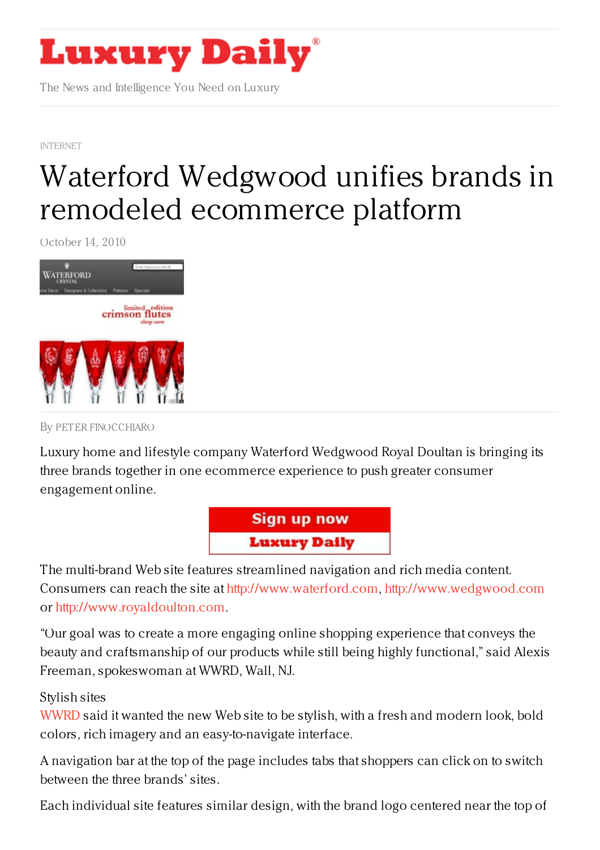

The News and Intelligence You Need on Luxury

[INTERNET](https://www.luxurydaily.com/category/news/internet-news/)

## Waterford Wedgwood unifies brands in remodeled [ecommerce](https://www.luxurydaily.com/waterford-wedgwood-unifies-brands-in-remodeled-ecommerce-platform/) platform

October 14, 2010



By PET ER [FINOCCHIARO](/author/peter-finocchiaro)

Luxury home and lifestyle company Waterford Wedgwood Royal Doultan is bringing its three brands together in one ecommerce experience to push greater consumer engagement online.



The multi-brand Web site features streamlined navigation and rich media content. Consumers can reach the site at <http://www.waterford.com>, <http://www.wedgwood.com> or <http://www.royaldoulton.com>.

"Our goal was to create a more engaging online shopping experience that conveys the beauty and craftsmanship of our products while still being highly functional," said Alexis Freeman, spokeswoman at WWRD, Wall, NJ.

## Stylish sites

[WWRD](http://www.waterford.com) said it wanted the new Web site to be stylish, with a fresh and modern look, bold colors, rich imagery and an easy-to-navigate interface.

A navigation bar at the top of the page includes tabs that shoppers can click on to switch between the three brands' sites.

Each individual site features similar design, with the brand logo centered near the top of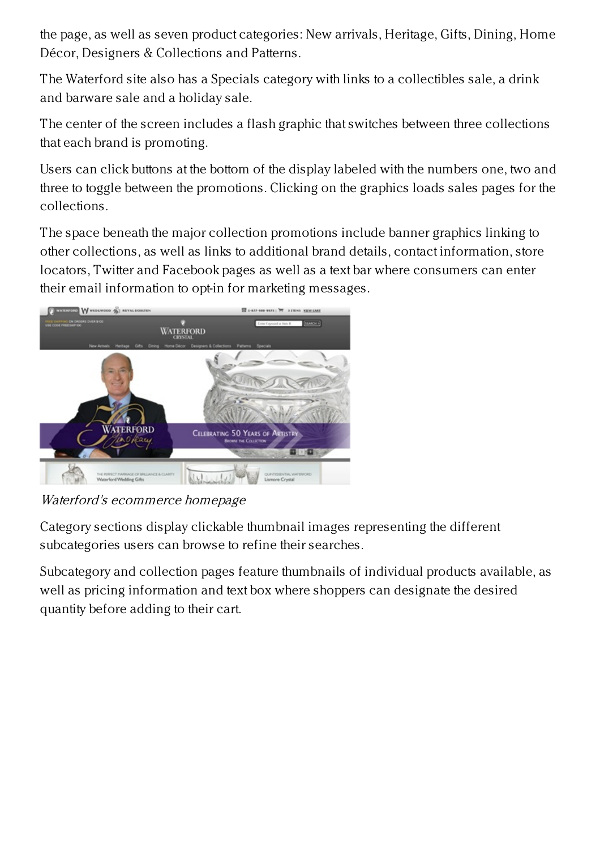the page, as well as seven product categories: New arrivals, Heritage, Gifts, Dining, Home Décor, Designers & Collections and Patterns.

The Waterford site also has a Specials category with links to a collectibles sale, a drink and barware sale and a holiday sale.

The center of the screen includes a flash graphic that switches between three collections that each brand is promoting.

Users can click buttons at the bottom of the display labeled with the numbers one, two and three to toggle between the promotions. Clicking on the graphics loads sales pages for the collections.

The space beneath the major collection promotions include banner graphics linking to other collections, as well as links to additional brand details, contact information, store locators, Twitter and Facebook pages as well as a text bar where consumers can enter their email information to opt-in for marketing messages.



Waterford's ecommerce homepage

Category sections display clickable thumbnail images representing the different subcategories users can browse to refine their searches.

Subcategory and collection pages feature thumbnails of individual products available, as well as pricing information and text box where shoppers can designate the desired quantity before adding to their cart.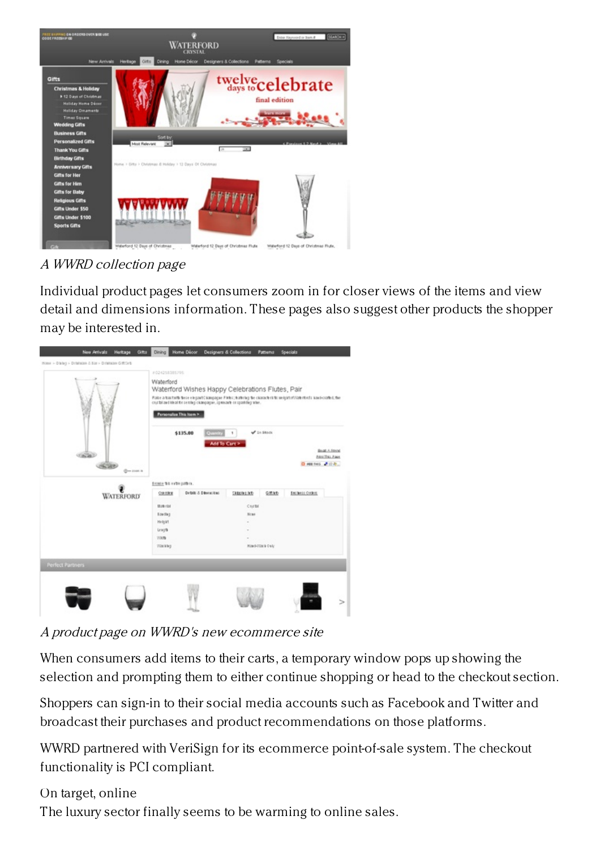

## A WWRD collection page

Individual product pages let consumers zoom in for closer views of the items and view detail and dimensions information. These pages also suggest other products the shopper may be interested in.



A product page on WWRD's new ecommerce site

When consumers add items to their carts, a temporary window pops up showing the selection and prompting them to either continue shopping or head to the checkout section.

Shoppers can sign-in to their social media accounts such as Facebook and Twitter and broadcast their purchases and product recommendations on those platforms.

WWRD partnered with VeriSign for its ecommerce point-of-sale system. The checkout functionality is PCI compliant.

On target, online

The luxury sector finally seems to be warming to online sales.